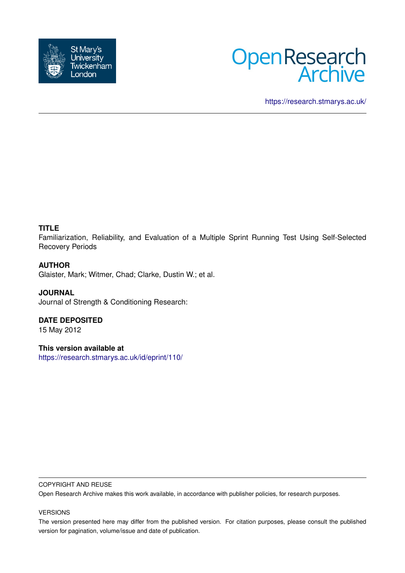



<https://research.stmarys.ac.uk/>

# **TITLE**

Familiarization, Reliability, and Evaluation of a Multiple Sprint Running Test Using Self-Selected Recovery Periods

## **AUTHOR**

Glaister, Mark; Witmer, Chad; Clarke, Dustin W.; et al.

## **JOURNAL**

Journal of Strength & Conditioning Research:

# **DATE DEPOSITED**

15 May 2012

# **This version available at**

<https://research.stmarys.ac.uk/id/eprint/110/>

#### COPYRIGHT AND REUSE

Open Research Archive makes this work available, in accordance with publisher policies, for research purposes.

#### VERSIONS

The version presented here may differ from the published version. For citation purposes, please consult the published version for pagination, volume/issue and date of publication.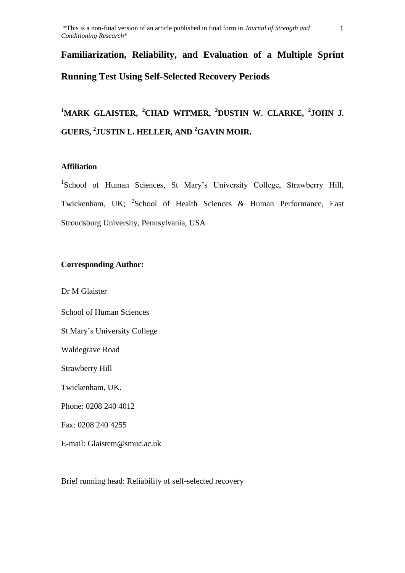# **Familiarization, Reliability, and Evaluation of a Multiple Sprint Running Test Using Self-Selected Recovery Periods**

**<sup>1</sup>MARK GLAISTER, <sup>2</sup>CHAD WITMER, <sup>2</sup>DUSTIN W. CLARKE, <sup>2</sup> JOHN J. GUERS, <sup>2</sup> JUSTIN L. HELLER, AND <sup>2</sup>GAVIN MOIR.**

## **Affiliation**

<sup>1</sup>School of Human Sciences, St Mary's University College, Strawberry Hill, Twickenham, UK; <sup>2</sup>School of Health Sciences & Human Performance, East Stroudsburg University, Pennsylvania, USA

## **Corresponding Author:**

Dr M Glaister

School of Human Sciences

St Mary's University College

Waldegrave Road

Strawberry Hill

Twickenham, UK.

Phone: 0208 240 4012

Fax: 0208 240 4255

E-mail: Glaistem@smuc.ac.uk

Brief running head: Reliability of self-selected recovery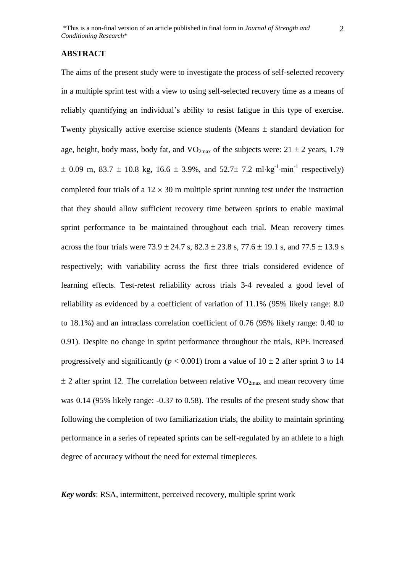#### **ABSTRACT**

The aims of the present study were to investigate the process of self-selected recovery in a multiple sprint test with a view to using self-selected recovery time as a means of reliably quantifying an individual's ability to resist fatigue in this type of exercise. Twenty physically active exercise science students (Means  $\pm$  standard deviation for age, height, body mass, body fat, and  $VO_{2max}$  of the subjects were:  $21 \pm 2$  years, 1.79  $\pm$  0.09 m, 83.7  $\pm$  10.8 kg, 16.6  $\pm$  3.9%, and 52.7 $\pm$  7.2 ml·kg<sup>-1</sup>·min<sup>-1</sup> respectively) completed four trials of a  $12 \times 30$  m multiple sprint running test under the instruction that they should allow sufficient recovery time between sprints to enable maximal sprint performance to be maintained throughout each trial. Mean recovery times across the four trials were  $73.9 \pm 24.7$  s,  $82.3 \pm 23.8$  s,  $77.6 \pm 19.1$  s, and  $77.5 \pm 13.9$  s respectively; with variability across the first three trials considered evidence of learning effects. Test-retest reliability across trials 3-4 revealed a good level of reliability as evidenced by a coefficient of variation of 11.1% (95% likely range: 8.0 to 18.1%) and an intraclass correlation coefficient of 0.76 (95% likely range: 0.40 to 0.91). Despite no change in sprint performance throughout the trials, RPE increased progressively and significantly ( $p < 0.001$ ) from a value of  $10 \pm 2$  after sprint 3 to 14  $\pm$  2 after sprint 12. The correlation between relative VO<sub>2max</sub> and mean recovery time was 0.14 (95% likely range: -0.37 to 0.58). The results of the present study show that following the completion of two familiarization trials, the ability to maintain sprinting performance in a series of repeated sprints can be self-regulated by an athlete to a high degree of accuracy without the need for external timepieces.

*Key words*: RSA, intermittent, perceived recovery, multiple sprint work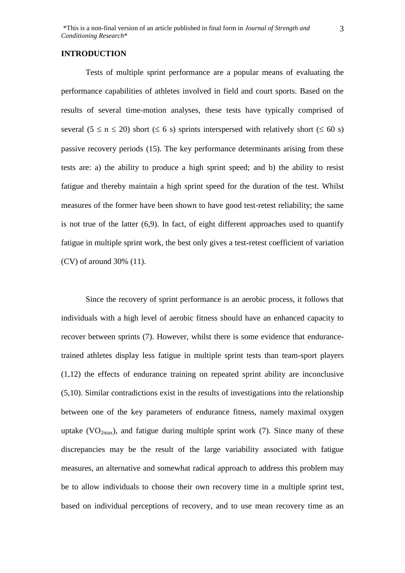#### **INTRODUCTION**

Tests of multiple sprint performance are a popular means of evaluating the performance capabilities of athletes involved in field and court sports. Based on the results of several time-motion analyses, these tests have typically comprised of several ( $5 \le n \le 20$ ) short ( $\le 6$  s) sprints interspersed with relatively short ( $\le 60$  s) passive recovery periods (15). The key performance determinants arising from these tests are: a) the ability to produce a high sprint speed; and b) the ability to resist fatigue and thereby maintain a high sprint speed for the duration of the test. Whilst measures of the former have been shown to have good test-retest reliability; the same is not true of the latter (6,9). In fact, of eight different approaches used to quantify fatigue in multiple sprint work, the best only gives a test-retest coefficient of variation (CV) of around 30% (11).

Since the recovery of sprint performance is an aerobic process, it follows that individuals with a high level of aerobic fitness should have an enhanced capacity to recover between sprints (7). However, whilst there is some evidence that endurancetrained athletes display less fatigue in multiple sprint tests than team-sport players (1,12) the effects of endurance training on repeated sprint ability are inconclusive (5,10). Similar contradictions exist in the results of investigations into the relationship between one of the key parameters of endurance fitness, namely maximal oxygen uptake (VO<sub>2max</sub>), and fatigue during multiple sprint work (7). Since many of these discrepancies may be the result of the large variability associated with fatigue measures, an alternative and somewhat radical approach to address this problem may be to allow individuals to choose their own recovery time in a multiple sprint test, based on individual perceptions of recovery, and to use mean recovery time as an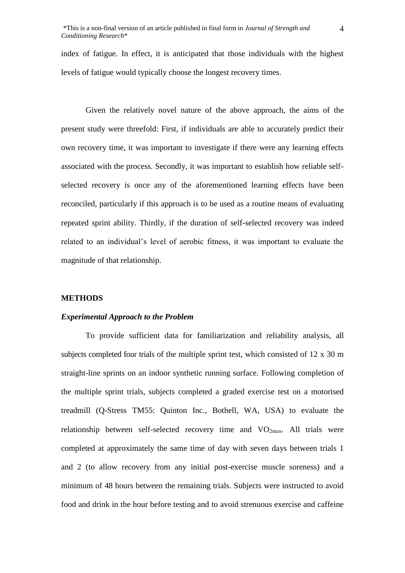index of fatigue. In effect, it is anticipated that those individuals with the highest levels of fatigue would typically choose the longest recovery times.

Given the relatively novel nature of the above approach, the aims of the present study were threefold: First, if individuals are able to accurately predict their own recovery time, it was important to investigate if there were any learning effects associated with the process. Secondly, it was important to establish how reliable selfselected recovery is once any of the aforementioned learning effects have been reconciled, particularly if this approach is to be used as a routine means of evaluating repeated sprint ability. Thirdly, if the duration of self-selected recovery was indeed related to an individual's level of aerobic fitness, it was important to evaluate the magnitude of that relationship.

#### **METHODS**

#### *Experimental Approach to the Problem*

To provide sufficient data for familiarization and reliability analysis, all subjects completed four trials of the multiple sprint test, which consisted of 12 x 30 m straight-line sprints on an indoor synthetic running surface. Following completion of the multiple sprint trials, subjects completed a graded exercise test on a motorised treadmill (Q-Stress TM55: Quinton Inc., Bothell, WA, USA) to evaluate the relationship between self-selected recovery time and  $VO<sub>2max</sub>$ . All trials were completed at approximately the same time of day with seven days between trials 1 and 2 (to allow recovery from any initial post-exercise muscle soreness) and a minimum of 48 hours between the remaining trials. Subjects were instructed to avoid food and drink in the hour before testing and to avoid strenuous exercise and caffeine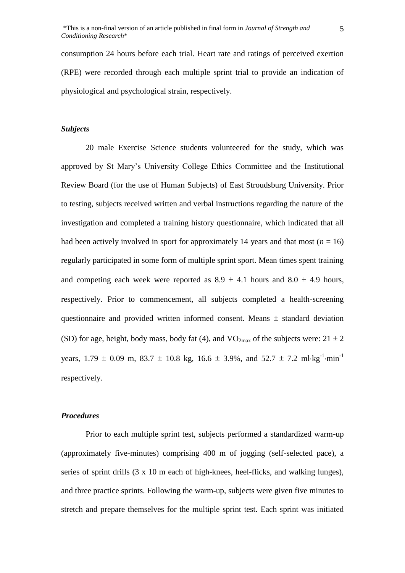consumption 24 hours before each trial. Heart rate and ratings of perceived exertion (RPE) were recorded through each multiple sprint trial to provide an indication of physiological and psychological strain, respectively.

#### *Subjects*

20 male Exercise Science students volunteered for the study, which was approved by St Mary's University College Ethics Committee and the Institutional Review Board (for the use of Human Subjects) of East Stroudsburg University. Prior to testing, subjects received written and verbal instructions regarding the nature of the investigation and completed a training history questionnaire, which indicated that all had been actively involved in sport for approximately 14 years and that most  $(n = 16)$ regularly participated in some form of multiple sprint sport. Mean times spent training and competing each week were reported as  $8.9 \pm 4.1$  hours and  $8.0 \pm 4.9$  hours, respectively. Prior to commencement, all subjects completed a health-screening questionnaire and provided written informed consent. Means  $\pm$  standard deviation (SD) for age, height, body mass, body fat (4), and  $VO_{2max}$  of the subjects were:  $21 \pm 2$ years,  $1.79 \pm 0.09$  m,  $83.7 \pm 10.8$  kg,  $16.6 \pm 3.9$ %, and  $52.7 \pm 7.2$  ml·kg<sup>-1</sup>·min<sup>-1</sup> respectively.

#### *Procedures*

Prior to each multiple sprint test, subjects performed a standardized warm-up (approximately five-minutes) comprising 400 m of jogging (self-selected pace), a series of sprint drills (3 x 10 m each of high-knees, heel-flicks, and walking lunges), and three practice sprints. Following the warm-up, subjects were given five minutes to stretch and prepare themselves for the multiple sprint test. Each sprint was initiated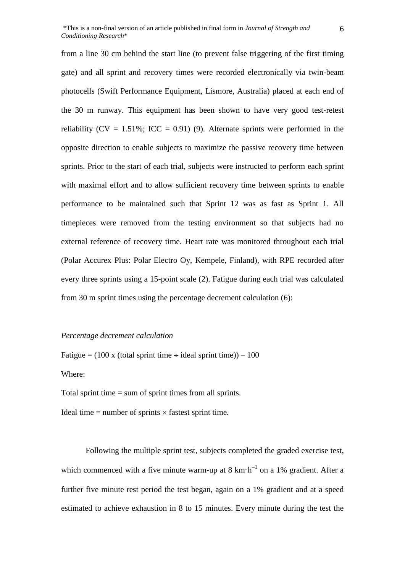from a line 30 cm behind the start line (to prevent false triggering of the first timing gate) and all sprint and recovery times were recorded electronically via twin-beam photocells (Swift Performance Equipment, Lismore, Australia) placed at each end of the 30 m runway. This equipment has been shown to have very good test-retest reliability ( $CV = 1.51\%$ ; ICC = 0.91) (9). Alternate sprints were performed in the opposite direction to enable subjects to maximize the passive recovery time between sprints. Prior to the start of each trial, subjects were instructed to perform each sprint with maximal effort and to allow sufficient recovery time between sprints to enable performance to be maintained such that Sprint 12 was as fast as Sprint 1. All timepieces were removed from the testing environment so that subjects had no external reference of recovery time. Heart rate was monitored throughout each trial (Polar Accurex Plus: Polar Electro Oy, Kempele, Finland), with RPE recorded after every three sprints using a 15-point scale (2). Fatigue during each trial was calculated from 30 m sprint times using the percentage decrement calculation (6):

#### *Percentage decrement calculation*

Fatigue =  $(100 \times$  (total sprint time  $\div$  ideal sprint time)) – 100

Where:

Total sprint time = sum of sprint times from all sprints.

Ideal time  $=$  number of sprints  $\times$  fastest sprint time.

Following the multiple sprint test, subjects completed the graded exercise test, which commenced with a five minute warm-up at 8 km $\cdot$ h<sup>-1</sup> on a 1% gradient. After a further five minute rest period the test began, again on a 1% gradient and at a speed estimated to achieve exhaustion in 8 to 15 minutes. Every minute during the test the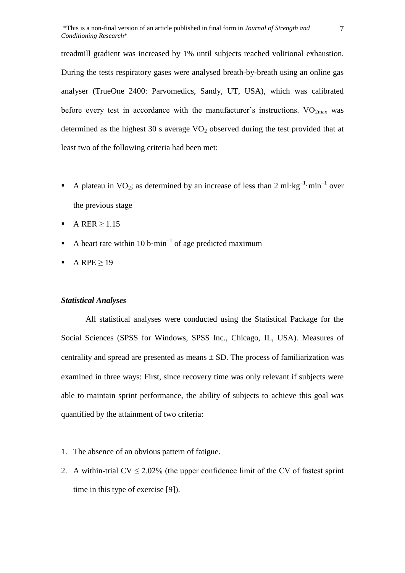treadmill gradient was increased by 1% until subjects reached volitional exhaustion. During the tests respiratory gases were analysed breath-by-breath using an online gas analyser (TrueOne 2400: Parvomedics, Sandy, UT, USA), which was calibrated before every test in accordance with the manufacturer's instructions.  $VO<sub>2max</sub>$  was determined as the highest 30 s average  $VO<sub>2</sub>$  observed during the test provided that at least two of the following criteria had been met:

- A plateau in VO<sub>2</sub>; as determined by an increase of less than 2 ml·kg<sup>-1</sup>·min<sup>-1</sup> over the previous stage
- A RER  $> 1.15$
- A heart rate within 10 b·min<sup>-1</sup> of age predicted maximum
- A RPE  $\geq$  19

#### *Statistical Analyses*

All statistical analyses were conducted using the Statistical Package for the Social Sciences (SPSS for Windows, SPSS Inc., Chicago, IL, USA). Measures of centrality and spread are presented as means  $\pm$  SD. The process of familiarization was examined in three ways: First, since recovery time was only relevant if subjects were able to maintain sprint performance, the ability of subjects to achieve this goal was quantified by the attainment of two criteria:

- 1. The absence of an obvious pattern of fatigue.
- 2. A within-trial  $CV \le 2.02\%$  (the upper confidence limit of the CV of fastest sprint time in this type of exercise [9]).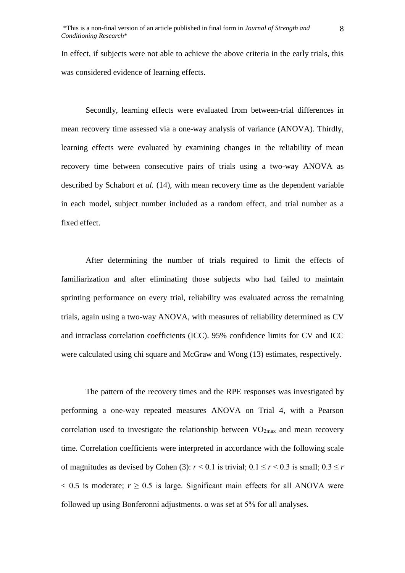In effect, if subjects were not able to achieve the above criteria in the early trials, this was considered evidence of learning effects.

Secondly, learning effects were evaluated from between-trial differences in mean recovery time assessed via a one-way analysis of variance (ANOVA). Thirdly, learning effects were evaluated by examining changes in the reliability of mean recovery time between consecutive pairs of trials using a two-way ANOVA as described by Schabort *et al.* (14), with mean recovery time as the dependent variable in each model, subject number included as a random effect, and trial number as a fixed effect.

After determining the number of trials required to limit the effects of familiarization and after eliminating those subjects who had failed to maintain sprinting performance on every trial, reliability was evaluated across the remaining trials, again using a two-way ANOVA, with measures of reliability determined as CV and intraclass correlation coefficients (ICC). 95% confidence limits for CV and ICC were calculated using chi square and McGraw and Wong (13) estimates, respectively.

The pattern of the recovery times and the RPE responses was investigated by performing a one-way repeated measures ANOVA on Trial 4, with a Pearson correlation used to investigate the relationship between  $VO_{2max}$  and mean recovery time. Correlation coefficients were interpreted in accordance with the following scale of magnitudes as devised by Cohen (3):  $r < 0.1$  is trivial;  $0.1 \le r < 0.3$  is small;  $0.3 \le r$  $< 0.5$  is moderate;  $r \ge 0.5$  is large. Significant main effects for all ANOVA were followed up using Bonferonni adjustments.  $\alpha$  was set at 5% for all analyses.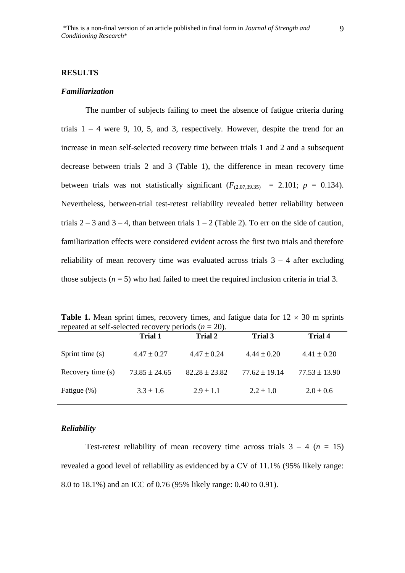#### *Familiarization*

The number of subjects failing to meet the absence of fatigue criteria during trials  $1 - 4$  were 9, 10, 5, and 3, respectively. However, despite the trend for an increase in mean self-selected recovery time between trials 1 and 2 and a subsequent decrease between trials 2 and 3 (Table 1), the difference in mean recovery time between trials was not statistically significant  $(F_{(2.073935)} = 2.101; p = 0.134)$ . Nevertheless, between-trial test-retest reliability revealed better reliability between trials  $2 - 3$  and  $3 - 4$ , than between trials  $1 - 2$  (Table 2). To err on the side of caution, familiarization effects were considered evident across the first two trials and therefore reliability of mean recovery time was evaluated across trials  $3 - 4$  after excluding those subjects  $(n = 5)$  who had failed to meet the required inclusion criteria in trial 3.

**Table 1.** Mean sprint times, recovery times, and fatigue data for  $12 \times 30$  m sprints repeated at self-selected recovery periods  $(n = 20)$ .

|                   | Trial 1           | Trial 2           | Trial 3           | Trial 4           |
|-------------------|-------------------|-------------------|-------------------|-------------------|
| Sprint time (s)   | $4.47 \pm 0.27$   | $4.47 \pm 0.24$   | $4.44 \pm 0.20$   | $4.41 \pm 0.20$   |
| Recovery time (s) | $73.85 \pm 24.65$ | $82.28 \pm 23.82$ | $77.62 \pm 19.14$ | $77.53 \pm 13.90$ |
| Fatigue (%)       | $3.3 \pm 1.6$     | $2.9 \pm 1.1$     | $2.2 \pm 1.0$     | $2.0 \pm 0.6$     |

#### *Reliability*

Test-retest reliability of mean recovery time across trials  $3 - 4$  ( $n = 15$ ) revealed a good level of reliability as evidenced by a CV of 11.1% (95% likely range: 8.0 to 18.1%) and an ICC of 0.76 (95% likely range: 0.40 to 0.91).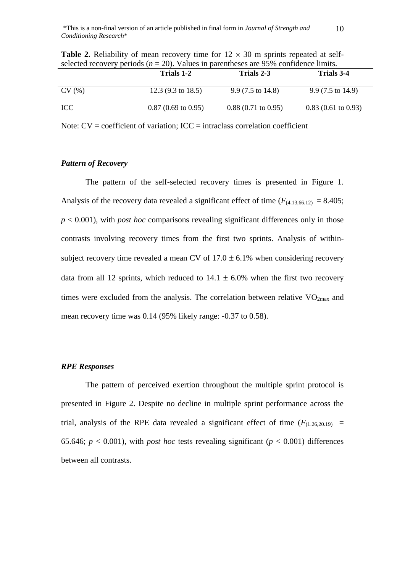|            | Trials 1-2                    | Trials 2-3                    | Trials 3-4                    |
|------------|-------------------------------|-------------------------------|-------------------------------|
| CV(%)      | 12.3 $(9.3 \text{ to } 18.5)$ | $9.9(7.5 \text{ to } 14.8)$   | $9.9(7.5 \text{ to } 14.9)$   |
| <b>ICC</b> | $0.87(0.69 \text{ to } 0.95)$ | $0.88(0.71 \text{ to } 0.95)$ | $0.83(0.61 \text{ to } 0.93)$ |

**Table 2.** Reliability of mean recovery time for  $12 \times 30$  m sprints repeated at selfselected recovery periods  $(n = 20)$ . Values in parentheses are 95% confidence limits.

Note:  $CV = coefficient$  of variation;  $ICC = intraclass correlation coefficient$ 

## *Pattern of Recovery*

The pattern of the self-selected recovery times is presented in Figure 1. Analysis of the recovery data revealed a significant effect of time  $(F_{(4.13,66.12)} = 8.405;$ *p* < 0.001), with *post hoc* comparisons revealing significant differences only in those contrasts involving recovery times from the first two sprints. Analysis of withinsubject recovery time revealed a mean CV of  $17.0 \pm 6.1\%$  when considering recovery data from all 12 sprints, which reduced to  $14.1 \pm 6.0\%$  when the first two recovery times were excluded from the analysis. The correlation between relative  $VO_{2max}$  and mean recovery time was 0.14 (95% likely range: -0.37 to 0.58).

#### *RPE Responses*

The pattern of perceived exertion throughout the multiple sprint protocol is presented in Figure 2. Despite no decline in multiple sprint performance across the trial, analysis of the RPE data revealed a significant effect of time  $(F_{(1,26,20,19)}$  = 65.646;  $p < 0.001$ ), with *post hoc* tests revealing significant ( $p < 0.001$ ) differences between all contrasts.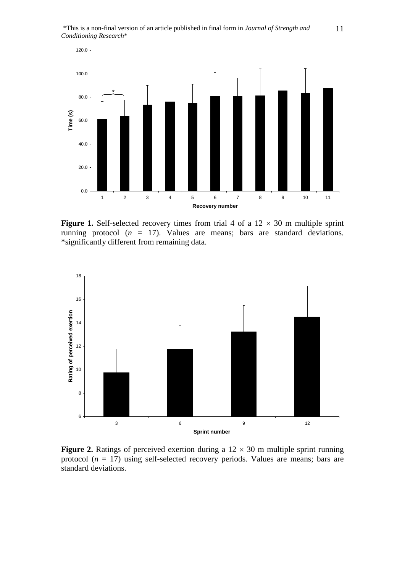

**Figure 1.** Self-selected recovery times from trial 4 of a  $12 \times 30$  m multiple sprint running protocol  $(n = 17)$ . Values are means; bars are standard deviations. \*significantly different from remaining data.



**Figure 2.** Ratings of perceived exertion during a  $12 \times 30$  m multiple sprint running protocol  $(n = 17)$  using self-selected recovery periods. Values are means; bars are standard deviations.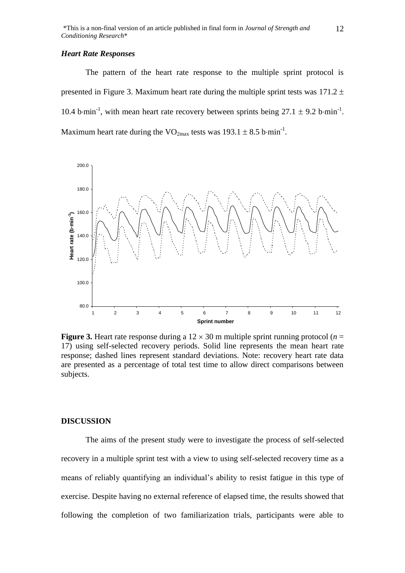#### *Heart Rate Responses*

The pattern of the heart rate response to the multiple sprint protocol is presented in Figure 3. Maximum heart rate during the multiple sprint tests was  $171.2 \pm$ 10.4 b $\cdot$ min<sup>-1</sup>, with mean heart rate recovery between sprints being 27.1  $\pm$  9.2 b $\cdot$ min<sup>-1</sup>. Maximum heart rate during the  $VO_{2max}$  tests was 193.1  $\pm$  8.5 b·min<sup>-1</sup>.



**Figure 3.** Heart rate response during a  $12 \times 30$  m multiple sprint running protocol (*n* = 17) using self-selected recovery periods. Solid line represents the mean heart rate response; dashed lines represent standard deviations. Note: recovery heart rate data are presented as a percentage of total test time to allow direct comparisons between subjects.

#### **DISCUSSION**

The aims of the present study were to investigate the process of self-selected recovery in a multiple sprint test with a view to using self-selected recovery time as a means of reliably quantifying an individual's ability to resist fatigue in this type of exercise. Despite having no external reference of elapsed time, the results showed that following the completion of two familiarization trials, participants were able to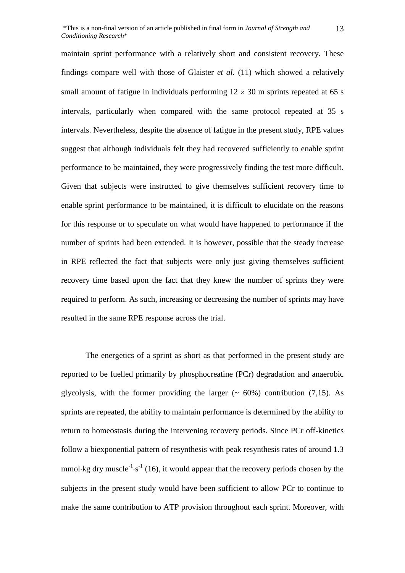maintain sprint performance with a relatively short and consistent recovery. These findings compare well with those of Glaister *et al.* (11) which showed a relatively small amount of fatigue in individuals performing  $12 \times 30$  m sprints repeated at 65 s intervals, particularly when compared with the same protocol repeated at 35 s intervals. Nevertheless, despite the absence of fatigue in the present study, RPE values suggest that although individuals felt they had recovered sufficiently to enable sprint performance to be maintained, they were progressively finding the test more difficult. Given that subjects were instructed to give themselves sufficient recovery time to enable sprint performance to be maintained, it is difficult to elucidate on the reasons for this response or to speculate on what would have happened to performance if the number of sprints had been extended. It is however, possible that the steady increase in RPE reflected the fact that subjects were only just giving themselves sufficient recovery time based upon the fact that they knew the number of sprints they were required to perform. As such, increasing or decreasing the number of sprints may have resulted in the same RPE response across the trial.

The energetics of a sprint as short as that performed in the present study are reported to be fuelled primarily by phosphocreatine (PCr) degradation and anaerobic glycolysis, with the former providing the larger  $($   $\sim$  60%) contribution (7,15). As sprints are repeated, the ability to maintain performance is determined by the ability to return to homeostasis during the intervening recovery periods. Since PCr off-kinetics follow a biexponential pattern of resynthesis with peak resynthesis rates of around 1.3 mmol $\text{kg}$  dry muscle<sup>-1</sup> $\text{m}$ <sup>-1</sup> (16), it would appear that the recovery periods chosen by the subjects in the present study would have been sufficient to allow PCr to continue to make the same contribution to ATP provision throughout each sprint. Moreover, with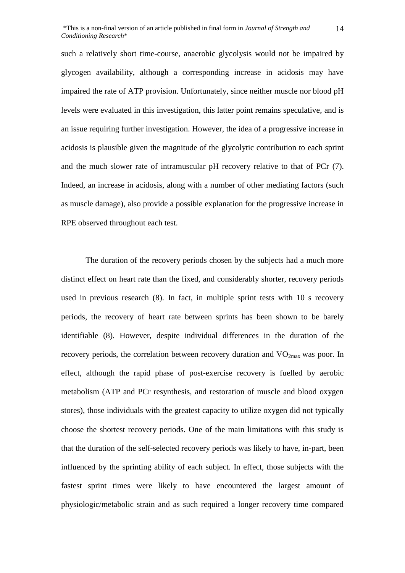such a relatively short time-course, anaerobic glycolysis would not be impaired by glycogen availability, although a corresponding increase in acidosis may have impaired the rate of ATP provision. Unfortunately, since neither muscle nor blood pH levels were evaluated in this investigation, this latter point remains speculative, and is an issue requiring further investigation. However, the idea of a progressive increase in acidosis is plausible given the magnitude of the glycolytic contribution to each sprint and the much slower rate of intramuscular pH recovery relative to that of PCr (7). Indeed, an increase in acidosis, along with a number of other mediating factors (such as muscle damage), also provide a possible explanation for the progressive increase in RPE observed throughout each test.

The duration of the recovery periods chosen by the subjects had a much more distinct effect on heart rate than the fixed, and considerably shorter, recovery periods used in previous research (8). In fact, in multiple sprint tests with 10 s recovery periods, the recovery of heart rate between sprints has been shown to be barely identifiable (8). However, despite individual differences in the duration of the recovery periods, the correlation between recovery duration and  $VO<sub>2max</sub>$  was poor. In effect, although the rapid phase of post-exercise recovery is fuelled by aerobic metabolism (ATP and PCr resynthesis, and restoration of muscle and blood oxygen stores), those individuals with the greatest capacity to utilize oxygen did not typically choose the shortest recovery periods. One of the main limitations with this study is that the duration of the self-selected recovery periods was likely to have, in-part, been influenced by the sprinting ability of each subject. In effect, those subjects with the fastest sprint times were likely to have encountered the largest amount of physiologic/metabolic strain and as such required a longer recovery time compared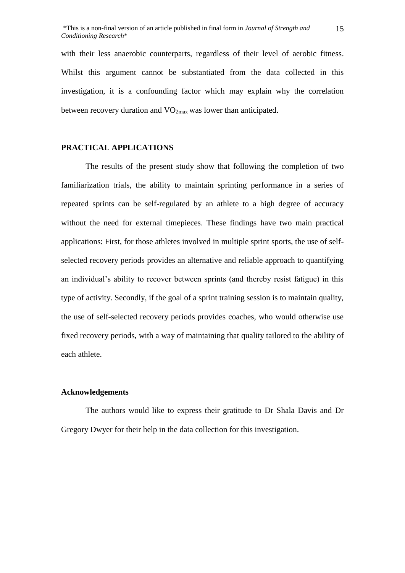with their less anaerobic counterparts, regardless of their level of aerobic fitness. Whilst this argument cannot be substantiated from the data collected in this investigation, it is a confounding factor which may explain why the correlation between recovery duration and  $VO<sub>2max</sub>$  was lower than anticipated.

#### **PRACTICAL APPLICATIONS**

The results of the present study show that following the completion of two familiarization trials, the ability to maintain sprinting performance in a series of repeated sprints can be self-regulated by an athlete to a high degree of accuracy without the need for external timepieces. These findings have two main practical applications: First, for those athletes involved in multiple sprint sports, the use of selfselected recovery periods provides an alternative and reliable approach to quantifying an individual's ability to recover between sprints (and thereby resist fatigue) in this type of activity. Secondly, if the goal of a sprint training session is to maintain quality, the use of self-selected recovery periods provides coaches, who would otherwise use fixed recovery periods, with a way of maintaining that quality tailored to the ability of each athlete.

## **Acknowledgements**

The authors would like to express their gratitude to Dr Shala Davis and Dr Gregory Dwyer for their help in the data collection for this investigation.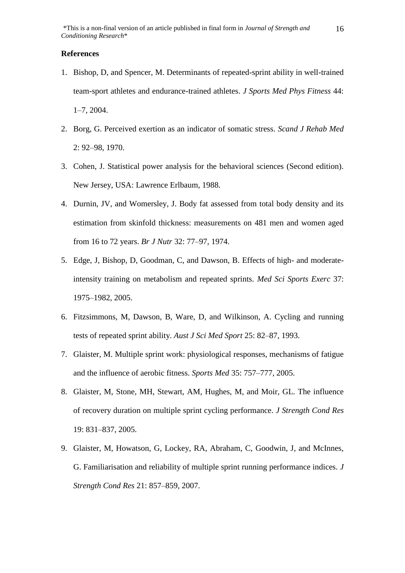#### **References**

- 1. Bishop, D, and Spencer, M. Determinants of repeated-sprint ability in well-trained team-sport athletes and endurance-trained athletes. *J Sports Med Phys Fitness* 44: 1–7, 2004.
- 2. Borg, G. Perceived exertion as an indicator of somatic stress. *Scand J Rehab Med* 2: 92–98, 1970.
- 3. Cohen, J. Statistical power analysis for the behavioral sciences (Second edition). New Jersey, USA: Lawrence Erlbaum, 1988.
- 4. Durnin, JV, and Womersley, J. Body fat assessed from total body density and its estimation from skinfold thickness: measurements on 481 men and women aged from 16 to 72 years. *Br J Nutr* 32: 77–97, 1974.
- 5. Edge, J, Bishop, D, Goodman, C, and Dawson, B. Effects of high- and moderateintensity training on metabolism and repeated sprints. *Med Sci Sports Exerc* 37: 1975–1982, 2005.
- 6. Fitzsimmons, M, Dawson, B, Ware, D, and Wilkinson, A. Cycling and running tests of repeated sprint ability. *Aust J Sci Med Sport* 25: 82–87, 1993.
- 7. Glaister, M. Multiple sprint work: physiological responses, mechanisms of fatigue and the influence of aerobic fitness. *Sports Med* 35: 757–777, 2005.
- 8. Glaister, M, Stone, MH, Stewart, AM, Hughes, M, and Moir, GL. The influence of recovery duration on multiple sprint cycling performance. *J Strength Cond Res* 19: 831–837, 2005.
- 9. Glaister, M, Howatson, G, Lockey, RA, Abraham, C, Goodwin, J, and McInnes, G. Familiarisation and reliability of multiple sprint running performance indices. *J Strength Cond Res* 21: 857–859, 2007.